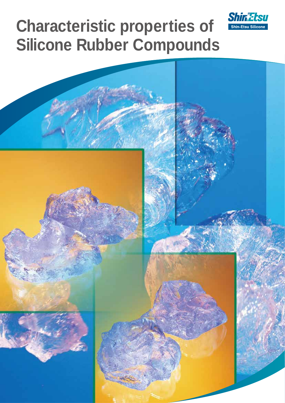

# **Characteristic properties of Silicone Rubber Compounds**

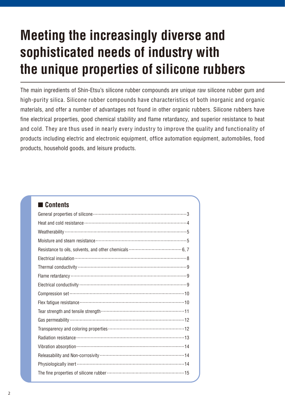## **Meeting the increasingly diverse and sophisticated needs of industry with the unique properties of silicone rubbers**

The main ingredients of Shin-Etsu's silicone rubber compounds are unique raw silicone rubber gum and high-purity silica. Silicone rubber compounds have characteristics of both inorganic and organic materials, and offer a number of advantages not found in other organic rubbers. Silicone rubbers have fine electrical properties, good chemical stability and flame retardancy, and superior resistance to heat and cold. They are thus used in nearly every industry to improve the quality and functionality of products including electric and electronic equipment, office automation equipment, automobiles, food products, household goods, and leisure products.

| I Contents                                                    |
|---------------------------------------------------------------|
|                                                               |
|                                                               |
|                                                               |
|                                                               |
|                                                               |
|                                                               |
|                                                               |
|                                                               |
|                                                               |
|                                                               |
|                                                               |
|                                                               |
|                                                               |
| Transparency and coloring properties ………………………………………………12     |
|                                                               |
|                                                               |
|                                                               |
|                                                               |
| The fine properties of silicone rubber ……………………………………………………15 |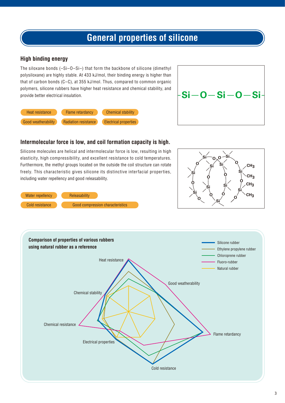### **General properties of silicone**

#### **High binding energy**

The siloxane bonds (–Si–O–Si–) that form the backbone of silicone (dimethyl polysiloxane) are highly stable. At 433 kJ/mol, their binding energy is higher than that of carbon bonds (C–C), at 355 kJ/mol. Thus, compared to common organic polymers, silicone rubbers have higher heat resistance and chemical stability, and provide better electrical insulation.





#### **Intermolecular force is low, and coil formation capacity is high.**

Silicone molecules are helical and intermolecular force is low, resulting in high elasticity, high compressibility, and excellent resistance to cold temperatures. Furthermore, the methyl groups located on the outside the coil structure can rotate freely. This characteristic gives silicone its distinctive interfacial properties, including water repellency and good releasability.





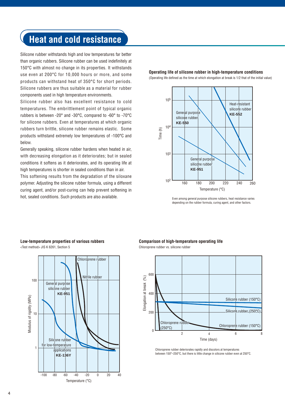### **Heat and cold resistance**

Silicone rubber withstands high and low temperatures far better than organic rubbers. Silicone rubber can be used indefinitely at 150°C with almost no change in its properties. It withstands use even at 200°C for 10,000 hours or more, and some products can withstand heat of 350°C for short periods. Silicone rubbers are thus suitable as a material for rubber components used in high temperature environments.

Silicone rubber also has excellent resistance to cold temperatures. The embrittlement point of typical organic rubbers is between -20° and -30°C, compared to -60° to -70°C for silicone rubbers. Even at temperatures at which organic rubbers turn brittle, silicone rubber remains elastic. Some products withstand extremely low temperatures of -100°C and below.

Generally speaking, silicone rubber hardens when heated in air, with decreasing elongation as it deteriorates; but in sealed conditions it softens as it deteriorates, and its operating life at high temperatures is shorter in sealed conditions than in air.

This softening results from the degradation of the siloxane polymer. Adjusting the silicone rubber formula, using a different curing agent, and/or post-curing can help prevent softening in hot, sealed conditions. Such products are also available.

**Operating life of silicone rubber in high-temperature conditions**

(Operating life defined as the time at which elongation at break is 1/2 that of the initial value)



Even among general purpose silicone rubbers, heat resistance varies depending on the rubber formula, curing agent, and other factors.

#### **Low-temperature properties of various rubbers** <Test method> JIS K 6261, Section 5



**Comparison of high-temperature operating life**





Chloroprene rubber deteriorates rapidly and discolors at temperatures between 150°–250°C, but there is little change in silicone rubber even at 250°C.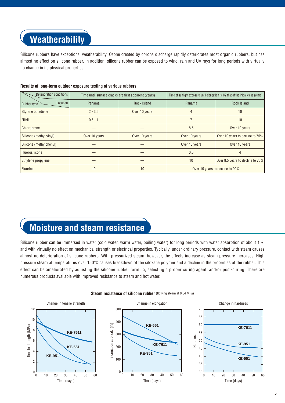### **Weatherability**

Silicone rubbers have exceptional weatherability. Ozone created by corona discharge rapidly deteriorates most organic rubbers, but has almost no effect on silicone rubber. In addition, silicone rubber can be exposed to wind, rain and UV rays for long periods with virtually no change in its physical properties.

| Deterioration conditions | Time until surface cracks are first apparent (years) |                    | Time of sunlight exposure until elongation is 1/2 that of the initial value (years) |                                  |  |
|--------------------------|------------------------------------------------------|--------------------|-------------------------------------------------------------------------------------|----------------------------------|--|
| Location<br>Rubber type  | Panama                                               | <b>Rock Island</b> | Panama                                                                              | <b>Rock Island</b>               |  |
| Styrene butadiene        | $2 - 3.5$                                            | Over 10 years      | 4                                                                                   | 10                               |  |
| <b>Nitrile</b>           | $0.5 - 1$                                            |                    |                                                                                     | 10                               |  |
| Chloroprene              |                                                      |                    | 8.5                                                                                 | Over 10 years                    |  |
| Silicone (methyl vinyl)  | Over 10 years                                        | Over 10 years      | Over 10 years                                                                       | Over 10 years to decline to 75%  |  |
| Silicone (methylphenyl)  |                                                      |                    | Over 10 years                                                                       | Over 10 years                    |  |
| Fluorosilicone           |                                                      |                    | 0.5                                                                                 |                                  |  |
| Ethylene propylene       |                                                      |                    | 10                                                                                  | Over 8.5 years to decline to 75% |  |
| <b>Fluorine</b>          | 10                                                   | 10                 |                                                                                     | Over 10 years to decline to 90%  |  |

#### **Results of long-term outdoor exposure testing of various rubbers**

### **Moisture and steam resistance**

Silicone rubber can be immersed in water (cold water, warm water, boiling water) for long periods with water absorption of about 1%, and with virtually no effect on mechanical strength or electrical properties. Typically, under ordinary pressure, contact with steam causes almost no deterioration of silicone rubbers. With pressurized steam, however, the effects increase as steam pressure increases. High pressure steam at temperatures over 150°C causes breakdown of the siloxane polymer and a decline in the properties of the rubber. This effect can be ameliorated by adjusting the silicone rubber formula, selecting a proper curing agent, and/or post-curing. There are numerous products available with improved resistance to steam and hot water.



#### **Steam resistance of silicone rubber** (flowing steam at 0.64 MPa)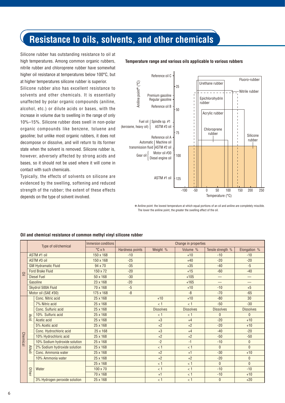### **Resistance to oils, solvents, and other chemicals**

Silicone rubber has outstanding resistance to oil at high temperatures. Among common organic rubbers, nitrile rubber and chloroprene rubber have somewhat higher oil resistance at temperatures below 100°C, but at higher temperatures silicone rubber is superior.

Silicone rubber also has excellent resistance to solvents and other chemicals. It is essentially unaffected by polar organic compounds (aniline, alcohol, etc.) or dilute acids or bases, with the increase in volume due to swelling in the range of only 10%–15%. Silicone rubber does swell in non-polar organic compounds like benzene, toluene and gasoline; but unlike most organic rubbers, it does not decompose or dissolve, and will return to its former state when the solvent is removed. Silicone rubber is, however, adversely affected by strong acids and bases, so it should not be used where it will come in contact with such chemicals.

Typically, the effects of solvents on silicone are evidenced by the swelling, softening and reduced strength of the rubber; the extent of these effects depends on the type of solvent involved.

#### **Temperature range and various oils applicable to various rubbers**



✽ Aniline point: the lowest temperature at which equal portions of an oil and aniline are completely miscible.

|             | Type of oil/chemical<br>ASTM #1 oil | Immersion conditions          |                  |                 | Change in properties |                  |                          |                  |
|-------------|-------------------------------------|-------------------------------|------------------|-----------------|----------------------|------------------|--------------------------|------------------|
|             |                                     |                               | $\degree$ C x h  | Hardness points | Weight %             | Volume %         | Tensile strength %       | Elongation %     |
|             |                                     |                               | $150 \times 168$ | $-10$           |                      | $+10$            | $-10$                    | $-10$            |
|             |                                     | ASTM #3 oil                   | 150 x 168        | $-25$           |                      | $+40$            | $-20$                    | $-20$            |
|             |                                     | <b>GM Hydramatic Fluid</b>    | 94 x 70          | $-35$           |                      | $+35$            | $-40$                    | $-5$             |
|             |                                     | <b>Ford Brake Fluid</b>       | $150 \times 72$  | $-20$           |                      | $+15$            | $-60$                    | $-40$            |
| $\subseteq$ |                                     | <b>Diesel Fuel</b>            | $50 \times 168$  | $-30$           |                      | $+105$           | $\overline{\phantom{0}}$ | —                |
|             |                                     | Gasoline                      | 23 x 168         | $-20$           |                      | $+165$           | ▃                        |                  |
|             |                                     | Skydrol 500A Fluid            | 70 x 168         | $-5$            |                      | $+10$            | $-10$                    | $+5$             |
|             | Motor oil (SAE #30)                 | 175 x 168                     | $-8$             |                 | $-8$                 | $-70$            | $-65$                    |                  |
|             |                                     | Conc. Nitric acid             | 25 x 168         |                 | $+10$                | $+10$            | $-80$                    | 30               |
|             |                                     | 7% Nitric acid                | $25 \times 168$  |                 | < 1                  | < 1              | $-50$                    | $-30$            |
|             |                                     | Conc. Sulfuric acid           | $25 \times 168$  |                 | <b>Dissolves</b>     | <b>Dissolves</b> | <b>Dissolves</b>         | <b>Dissolves</b> |
|             | <b>Acid</b>                         | 10% Sulfuric acid             | $25 \times 168$  |                 | < 1                  | < 1              | $\mathbf{0}$             | $\mathbf{0}$     |
|             |                                     | Acetic acid                   | $25 \times 168$  |                 | $+3$                 | $+4$             | $-20$                    | $+10$            |
|             |                                     | 5% Acetic acid                | 25 x 168         |                 | $+2$                 | $+2$             | $-20$                    | $+10$            |
|             |                                     | Conc. Hydrochloric acid       | 25 x 168         |                 | $+3$                 | $+4$             | $-40$                    | $-20$            |
| Chemica     |                                     | 10% Hydrochloric acid         | $25 \times 168$  |                 | $+2$                 | $+2$             | $-50$                    | $-50$            |
|             |                                     | 10% Sodium hydroxide solution | $25 \times 168$  |                 | $-2$                 | $-1$             | $-10$                    | $\mathbf 0$      |
|             | <b>Alkali</b>                       | 2% Sodium hydroxide solution  | $25 \times 168$  |                 | < 1                  | < 1              | $\mathbf{0}$             | $\mathbf{0}$     |
|             |                                     | Conc. Ammonia water           | $25 \times 168$  |                 | $+2$                 | $+1$             | $-30$                    | $+10$            |
|             |                                     | 10% Ammonia water             | $25 \times 168$  |                 | $+2$                 | $+2$             | $-20$                    | $\mathbf 0$      |
|             |                                     |                               | $25 \times 168$  |                 | < 1                  | < 1              | $\mathbf{0}$             | $\mathbf{0}$     |
|             | Other                               | Water                         | 100 x 70         |                 | < 1                  | < 1              | $-10$                    | $-10$            |
|             |                                     |                               | 70 x 168         |                 | $+1$                 | < 1              | $-10$                    | $+10$            |
|             |                                     | 3% Hydrogen peroxide solution | 25 x 168         |                 | < 1                  | < 1              | $\mathbf{0}$             | $+20$            |

#### **Oil and chemical resistance of common methyl vinyl silicone rubber**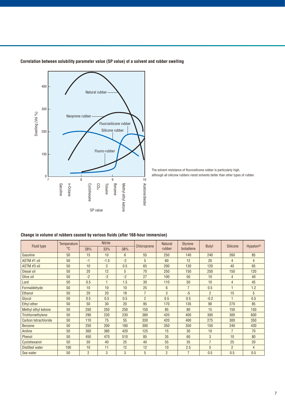

#### **Correlation between solubility parameter value (SP value) of a solvent and rubber swelling**

The solvent resistance of fluorosilicone rubber is particularly high, although all silicone rubbers resist solvents better than other types of rubber.

#### **Change in volume of rubbers caused by various fluids (after 168-hour immersion)**

| Fluid type             | Temperature | <b>Nitrile</b> |              | Chloroprene | <b>Natural</b> | <b>Styrene</b> | <b>Butyl</b>   | <b>Silicone</b> | Hypalon <sup>®</sup> |                |
|------------------------|-------------|----------------|--------------|-------------|----------------|----------------|----------------|-----------------|----------------------|----------------|
|                        | °C          | 28%            | 33%          | 38%         |                | rubber         | butadiene      |                 |                      |                |
| Gasoline               | 50          | 15             | 10           | 6           | 55             | 250            | 140            | 240             | 260                  | 85             |
| ASTM #1 oil            | 50          | $-1$           | $-1.5$       | $-2$        | 5              | 60             | 12             | 20              | $\overline{4}$       | $\overline{4}$ |
| ASTM #3 oil            | 50          | 10             | $\mathbf{3}$ | 0.5         | 65             | 200            | 130            | 120             | 40                   | 65             |
| Diesel oil             | 50          | 20             | 12           | 5           | 70             | 250            | 150            | 250             | 150                  | 120            |
| Olive oil              | 50          | $-2$           | $-2$         | $-2$        | 27             | 100            | 50             | 10              | 4                    | 40             |
| Lard                   | 50          | 0.5            |              | 1.5         | 30             | 110            | 50             | 10              | $\overline{4}$       | 45             |
| Formaldehyde           | 50          | 10             | 10           | 10          | 25             | $6\phantom{1}$ | $\overline{7}$ | 0.5             |                      | 1.2            |
| Ethanol                | 50          | 20             | 20           | 18          | $\overline{7}$ | 3              | $-5$           | $\overline{2}$  | 15                   | 5              |
| Glycol                 | 50          | 0.5            | 0.5          | 0.5         | $\overline{2}$ | 0.5            | 0.5            | $-0.2$          |                      | 0.5            |
| Ethyl ether            | 50          | 50             | 30           | 20          | 95             | 170            | 135            | 90              | 270                  | 85             |
| Methyl ethyl ketone    | 50          | 250            | 250          | 250         | 150            | 85             | 80             | 15              | 150                  | 150            |
| Trichloroethylene      | 50          | 290            | 230          | 230         | 380            | 420            | 400            | 300             | 300                  | 600            |
| Carbon tetrachloride   | 50          | 110            | 75           | 55          | 330            | 420            | 400            | 275             | 300                  | 350            |
| <b>Benzene</b>         | 50          | 250            | 200          | 160         | 300            | 350            | 350            | 150             | 240                  | 430            |
| <b>Aniline</b>         | 50          | 360            | 380          | 420         | 125            | 15             | 30             | 10              | $\overline{7}$       | 70             |
| Phenol                 | 50          | 450            | 470          | 510         | 85             | 35             | 60             | 3               | 10                   | 80             |
| Cyclohexanol           | 50          | 50             | 40           | 25          | 40             | 55             | 35             | $\overline{7}$  | 25                   | 20             |
| <b>Distilled water</b> | 100         | 10             | 11           | 12          | 12             | 10             | 2.5            | 5               | $\overline{2}$       | $\overline{4}$ |
| Sea water              | 50          | $\overline{2}$ | 3            | 3           | 5              | $\overline{2}$ | $\overline{7}$ | 0.5             | 0.5                  | 0.5            |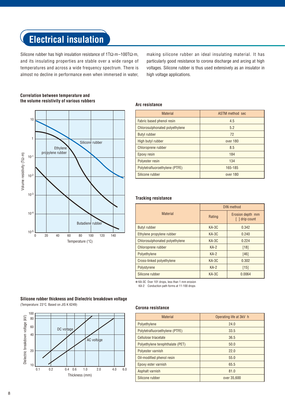### **Electrical insulation**

Silicone rubber has high insulation resistance of 1TΩ·m–100TΩ·m, and its insulating properties are stable over a wide range of temperatures and across a wide frequency spectrum. There is almost no decline in performance even when immersed in water, making silicone rubber an ideal insulating material. It has particularly good resistance to corona discharge and arcing at high voltages. Silicone rubber is thus used extensively as an insulator in high voltage applications.



#### **Correlation between temperature and the volume resistivity of various rubbers**

#### **Arc resistance**

| <b>Material</b>                | ASTM method sec |
|--------------------------------|-----------------|
| Fabric based phenol resin      | 4.5             |
| Chlorosulphonated polyethylene | 5.2             |
| <b>Butyl rubber</b>            | 72              |
| High butyl rubber              | over 180        |
| Chloroprene rubber             | 8.5             |
| Epoxy resin                    | 184             |
| Polyester resin                | 134             |
| Polytetrafluoroethylene (PTFE) | 165-185         |
| Silicone rubber                | over 180        |

#### **Tracking resistance**

|                                | DIN method |                                         |  |  |
|--------------------------------|------------|-----------------------------------------|--|--|
| <b>Material</b>                | Rating     | Erosion depth mm<br>$\lceil$ drip count |  |  |
| <b>Butyl rubber</b>            | $KA-3C$    | 0.342                                   |  |  |
| Ethylene propylene rubber      | $KA-3C$    | 0.240                                   |  |  |
| Chlorosulphonated polyethylene | $KA-3C$    | 0.224                                   |  |  |
| Chloroprene rubber             | $KA-2$     | [18]                                    |  |  |
| Polyethylene                   | $KA-2$     | [46]                                    |  |  |
| Cross-linked polyethylene      | KA-3C      | 0.302                                   |  |  |
| Polystyrene                    | $KA-2$     | $[15]$                                  |  |  |
| Silicone rubber                | KA-3C      | 0.0064                                  |  |  |

✽ KA-3C Over 101 drops, less than 1 mm erosion

KA-2 Conduction path forms at 11-100 drops

#### **Silicone rubber thickness and Dielectric breakdown voltage** (Temperature: 23°C. Based on JIS K 6249)



#### **Corona resistance**

| <b>Material</b>                  | Operating life at 3kV h |
|----------------------------------|-------------------------|
| Polyethylene                     | 24.0                    |
| Polytetrafluoroethylene (PTFE)   | 33.5                    |
| Cellulose triacetate             | 36.5                    |
| Polyethylene terephthalate (PET) | 50.0                    |
| Polyester varnish                | 22.0                    |
| Oil-modified phenol resin        | 55.0                    |
| Epoxy ester varnish              | 65.5                    |
| Asphalt varnish                  | 81.0                    |
| Silicone rubber                  | over 35,600             |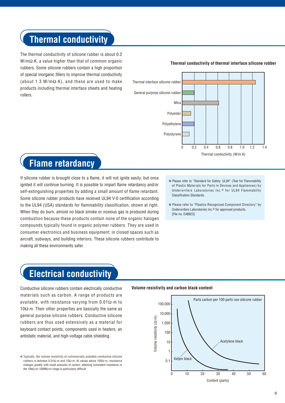### **Thermal conductivity**

The thermal conductivity of silicone rubber is about 0.2 W/mΩ·K, a value higher than that of common organic rubbers. Some silicone rubbers contain a high proportion of special inorganic fillers to improve thermal conductivity (about 1.3 W/mΩ·K), and these are used to make products including thermal interface sheets and heating rollers.

#### **Thermal conductivity of thermal interface silicone rubber**



### **Flame retardancy**

If silicone rubber is brought close to a flame, it will not ignite easily; but once ignited it will continue burning. It is possible to impart flame retardancy and/or self-extinguishing properties by adding a small amount of flame retardant. Some silicone rubber products have received UL94 V-0 certification according to the UL94 (USA) standards for flammability classification, shown at right. When they do burn, almost no black smoke or noxious gas is produced during combustion because these products contain none of the organic halogen compounds typically found in organic polymer rubbers. They are used in consumer electronics and business equipment; in closed spaces such as aircraft, subways, and building interiors. These silicone rubbers contribute to making all these environments safer.

- ✽ Please refer to "Standard for Safety: UL94" (Test for Flammability of Plastic Materials for Parts in Devices and Appliances) by Underwriters Laboratories Inc.® for UL94 Flammability Classification Standards.
- ✽ Please refer to "Plastics Recognized Component Directory" by Underwriters Laboratories Inc.® for approved products. [File no. F48923]

### **Electrical conductivity**

Conductive silicone rubbers contain electrically conductive **Volume resistivity and carbon black content** materials such as carbon. A range of products are available, with resistance varying from  $0.01\Omega \cdot m$  to 10Ω·m. Their other properties are basically the same as general purpose silicone rubbers. Conductive silicone rubbers are thus used extensively as a material for keyboard contact points, components used in heaters, an antistatic material, and high-voltage cable shielding.



<sup>✽</sup> Typically, the volume resistivity of commercially available conductive silicone rubbers is between 0.01Ω·m and 10Ω·m. At values above 100Ω·m, resistance changes greatly with small amounts of carbon; attaining consistent resistance in the 10kΩ·m–100MΩ·m range is particularly difficult.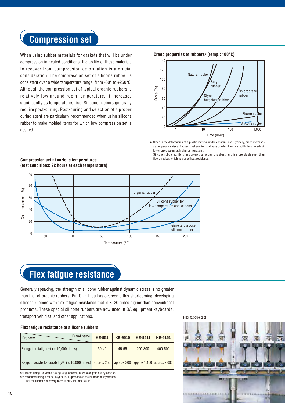### **Compression set**

When using rubber materials for gaskets that will be under compression in heated conditions, the ability of these materials to recover from compression deformation is a crucial consideration. The compression set of silicone rubber is consistent over a wide temperature range, from -60° to +250°C. Although the compression set of typical organic rubbers is relatively low around room temperature, it increases significantly as temperatures rise. Silicone rubbers generally require post-curing. Post-curing and selection of a proper curing agent are particularly recommended when using silicone rubber to make molded items for which low compression set is desired.

140 120 100 80 60 40 20  $\frac{1}{1}$  10 100 1,000 **Creep properties of rubbers**✽ **(temp.: 100°C)** Time (hour) Chloroprene rubber Fluoro-rubber Silicone rubber Butyl rubber Natural rubber Styrene butadiene rubber Figure  $\frac{1}{20}$ <br>  $\frac{1}{20}$ <br>  $\frac{1}{20}$ <br>  $\frac{1}{20}$ <br>  $\frac{1}{20}$ <br>  $\frac{1}{20}$ <br>  $\frac{1}{20}$ <br>  $\frac{1}{20}$ <br>  $\frac{1}{20}$ <br>  $\frac{1}{20}$ <br>  $\frac{1}{20}$ <br>  $\frac{1}{20}$ <br>  $\frac{1}{20}$ <br>  $\frac{1}{20}$ <br>  $\frac{1}{20}$ <br>  $\frac{1}{20}$ <br>  $\frac{1}{20}$ <br>  $\frac{1}{20}$ 

✽ Creep is the deformation of a plastic material under constant load. Typically, creep increases as temperature rises. Rubbers that are firm and have greater thermal stability tend to exhibit lower creep values at higher temperatures.

Silicone rubber exhibits less creep than organic rubbers, and is more stable even than



#### **Compression set at various temperatures (test conditions: 22 hours at each temperature)**

### **Flex fatigue resistance**

Generally speaking, the strength of silicone rubber against dynamic stress is no greater than that of organic rubbers. But Shin-Etsu has overcome this shortcoming, developing silicone rubbers with flex fatigue resistance that is 8–20 times higher than conventional products. These special silicone rubbers are now used in OA equipment keyboards, transport vehicles, and other applications.

#### **Flex fatigue resistance of silicone rubbers**

| Brand name<br>Property                                                        | <b>KE-951</b> | <b>KE-9510</b> | <b>KE-9511</b>                           | <b>KE-5151</b> |
|-------------------------------------------------------------------------------|---------------|----------------|------------------------------------------|----------------|
| Elongation fatigue* <sup>1</sup> ( x 10,000 times)                            | $30 - 40$     | $45 - 55$      | 200-300                                  | 400-500        |
| Keypad keystroke durability <sup>*2</sup> ( $\times$ 10,000 times) approx 250 |               |                | approx 300   approx 1,100   approx 2,000 |                |

✽1 Tested using De Mattia flexing fatigue tester, 100% elongation, 5 cycles/sec. ✽2 Measured using a model keyboard. Expressed as the number of keystrokes

until the rubber's recovery force is 50% its initial value.



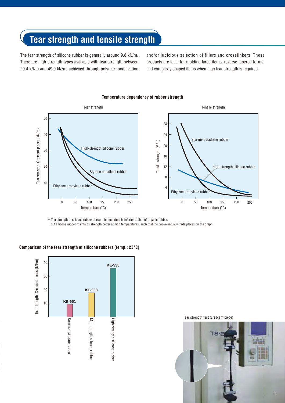### **Tear strength and tensile strength**

The tear strength of silicone rubber is generally around 9.8 kN/m. There are high-strength types available with tear strength between 29.4 kN/m and 49.0 kN/m, achieved through polymer modification and/or judicious selection of fillers and crosslinkers. These products are ideal for molding large items, reverse tapered forms, and complexly shaped items when high tear strength is required.

#### **Temperature dependency of rubber strength**



✽ The strength of silicone rubber at room temperature is inferior to that of organic rubber, but silicone rubber maintains strength better at high temperatures, such that the two eventually trade places on the graph.

#### **Comparison of the tear strength of silicone rubbers (temp.: 23°C)**



Tear strength test (crescent piece)

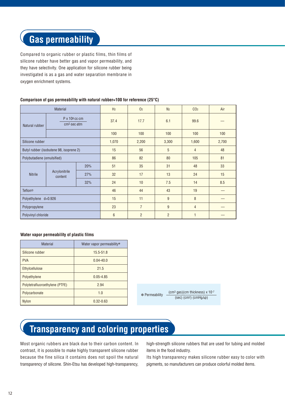### **Gas permeability**

Compared to organic rubber or plastic films, thin films of silicone rubber have better gas and vapor permeability, and they have selectivity. One application for silicone rubber being investigated is as a gas and water separation membrane in oxygen enrichment systems.

#### **Comparison of gas permeability with natural rubber=100 for reference (25°C)**

| <b>Material</b>                         |                                              | H <sub>2</sub> | 0 <sub>2</sub> | N <sub>2</sub> | CO <sub>2</sub> | Air            |       |
|-----------------------------------------|----------------------------------------------|----------------|----------------|----------------|-----------------|----------------|-------|
| Natural rubber                          | $P \times 10^8$ cc $\cdot$ cm<br>cm2.sec.atm |                | 37.4           | 17.7           | 6.1             | 99.6           |       |
|                                         |                                              |                | 100            | 100            | 100             | 100            | 100   |
| Silicone rubber                         |                                              |                | 1,070          | 2,200          | 3,300           | 1,600          | 2,700 |
| Butyl rubber (isobutene 98, isoprene 2) |                                              |                | 15             | 56             | 5               | $\overline{4}$ | 48    |
| Polybutadiene (emulsified)              |                                              |                | 86             | 82             | 80              | 105            | 81    |
|                                         | Acrylonitrile<br>content                     | 20%            | 51             | 35             | 31              | 48             | 33    |
| <b>Nitrile</b>                          |                                              | 27%            | 32             | 17             | 13              | 24             | 15    |
|                                         |                                              | 32%            | 24             | 10             | 7.5             | 14             | 8.5   |
| <b>Teflon®</b>                          |                                              |                | 46             | 44             | 43              | 19             |       |
| Polyethylene d=0.926                    |                                              |                | 15             | 11             | 9               | 8              |       |
| Polypropylene                           |                                              |                | 23             | $\overline{7}$ | 9               | $\overline{4}$ |       |
| Polyvinyl chloride                      |                                              |                | $6\phantom{1}$ | $\overline{2}$ | $\overline{2}$  | $\overline{1}$ |       |

#### **Water vapor permeability of plastic films**

| <b>Material</b>                | Water vapor permeability* |                |                                                   |
|--------------------------------|---------------------------|----------------|---------------------------------------------------|
| Silicone rubber                | $15.5 - 51.8$             |                |                                                   |
| <b>PVA</b>                     | $0.04 - 40.0$             |                |                                                   |
| Ethylcellulose                 | 21.5                      |                |                                                   |
| Polyethylene                   | $0.05 - 4.85$             |                |                                                   |
| Polytetrafluoroethylene (PTFE) | 2.94                      |                |                                                   |
| Polycarbonate                  | 1.0                       | * Permeability | $\text{(cm}^3 \text{ gas})$ (cm thickness) x 10-7 |
| <b>Nylon</b>                   | $0.32 - 0.63$             |                | $(sec)$ (cm <sup>2</sup> ) (cmHg $\Delta p$ )     |

## **Transparency and coloring properties**

Most organic rubbers are black due to their carbon content. In contrast, it is possible to make highly transparent silicone rubber because the fine silica it contains does not spoil the natural transparency of silicone. Shin-Etsu has developed high-transparency,

high-strength silicone rubbers that are used for tubing and molded items in the food industry.

Its high transparency makes silicone rubber easy to color with pigments, so manufacturers can produce colorful molded items.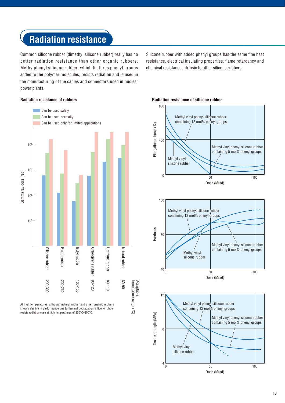### **Radiation resistance**

Common silicone rubber (dimethyl silicone rubber) really has no better radiation resistance than other organic rubbers. Methylphenyl silicone rubber, which features phenyl groups added to the polymer molecules, resists radiation and is used in the manufacturing of the cables and connectors used in nuclear power plants.

Silicone rubber with added phenyl groups has the same fine heat resistance, electrical insulating properties, flame retardancy and chemical resistance intrinsic to other silicone rubbers.

#### **Radiation resistance of rubbers**



At high temperatures, although natural rubber and other organic rubbers show a decline in performance due to thermal degradation, silicone rubber resists radiation even at high temperatures of 200°C–300°C.

#### **Radiation resistance of silicone rubber**



13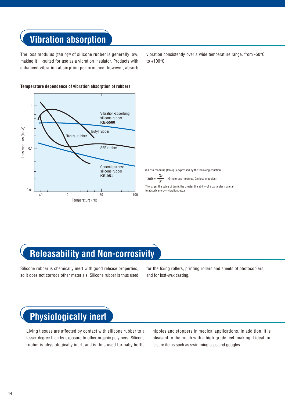### **Vibration absorption**

The loss modulus (tan  $\delta$ )\* of silicone rubber is generally low, making it ill-suited for use as a vibration insulator. Products with enhanced vibration absorption performance, however, absorb vibration consistently over a wide temperature range, from -50°C to +100°C.



#### **Temperature dependence of vibration absorption of rubbers**

✽ Loss modulus (tan δ) is expressed by the following equation:

tan $\delta = \frac{G_2}{G_1}$ (G1=storage modulus, G2=loss modulus)

The larger the value of tan δ, the greater the ability of a particular material to absorb energy (vibration, etc.).

### **Releasability and Non-corrosivity**

Silicone rubber is chemically inert with good release properties, so it does not corrode other materials. Silicone rubber is thus used for the fixing rollers, printing rollers and sheets of photocopiers, and for lost-wax casting.

### **Physiologically inert**

Living tissues are affected by contact with silicone rubber to a lesser degree than by exposure to other organic polymers. Silicone rubber is physiologically inert, and is thus used for baby bottle

nipples and stoppers in medical applications. In addition, it is pleasant to the touch with a high-grade feel, making it ideal for leisure items such as swimming caps and goggles.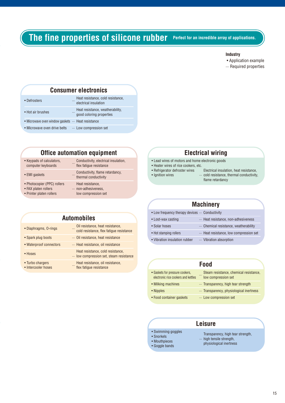### **The fine properties of silicone rubber** Perfect for an incredible array of applications.

#### **Industry**

- Application example
- ··· Required properties

#### **Consumer electronics** • Defrosters ··· Heat resistance, cold resistance,

- electrical insulation • Hot air brushes ··· Heat resistance, weatherability, good coloring properties • Microwave oven window gaskets  $\cdots$  Heat resistance
- Microwave oven drive belts ... Low compression set

#### **Office automation equipment**

**Automobiles**

- $conputer$  keyboards
- Keypads of calculators, enductivity, electrical insulation, computer keyboards  $\cdot$  flex fatione resistance
- EMI gaskets ··· Conductivity, flame retardancy,
- 
- 
- Printer platen rollers low compression set
- thermal conductivity • Photocopier (PPC) rollers Heat resistance,<br>• FAX platen rollers  $\cdots$  non-adhesivene: ··· non-adhesiveness,
	-

### **Electrical wiring**

- Lead wires of motors and home electronic goods
- Heater wires of rice cookers, etc.
- 
- 
- Refrigerator defroster wires Electrical insulation, heat resistance, • Ignition wires ··· cold resistance, thermal conductivity, flame retardancy

#### **Machinery**

| • Low frequency therapy devices  Conductivity |                                      |
|-----------------------------------------------|--------------------------------------|
| • Lost-wax casting                            | Heat resistance, non-adhesiveness    |
| • Solar hoses                                 | Chemical resistance, weatherability  |
| • Hot stamping rollers                        | Heat resistance, low compression set |
| • Vibration insulation rubber                 | Vibration absorption                 |

|                                                                                                        | TOW COMPLETED BOOK SECTION FOSISTANCE |           |                                                                        |                                                               |  |
|--------------------------------------------------------------------------------------------------------|---------------------------------------|-----------|------------------------------------------------------------------------|---------------------------------------------------------------|--|
| • Turbo chargers<br>Heat resistance, oil resistance,<br>flex fatique resistance<br>• Intercooler hoses |                                       |           | Food                                                                   |                                                               |  |
|                                                                                                        |                                       |           | • Gaskets for pressure cookers,<br>electronic rice cookers and kettles | Steam resistance, chemical resistance,<br>low compression set |  |
|                                                                                                        |                                       |           | • Milking machines                                                     | Transparency, high tear strength                              |  |
|                                                                                                        |                                       | • Nipples | Transparency, physiological inertness                                  |                                                               |  |
|                                                                                                        |                                       |           | • Food container gaskets                                               | Low compression set                                           |  |
|                                                                                                        |                                       |           |                                                                        |                                                               |  |

#### **Leisure**

- 
- Swimming goggles Transparency, high tear strength, Snorkels ··· high tensile strength, Mouthpieces physiological inertness Goggle bands
	-
- 
- 
- 

#### • Diaphragms, O-rings ··· Oil resistance, heat resistance,

- 
- 
- Waterproof connectors ···· Heat resistance, oil resistance
- 
- 
- 
- 
- cold resistance, flex fatigue resistance
- Spark plug boots ··· Oil resistance, heat resistance
- Hoses Heat resistance, cold resistance,  $\frac{1}{2}$ 
	- ··· low compression set, steam resistance
- Turbo chargers ··· Heat resistance, oil resistance,